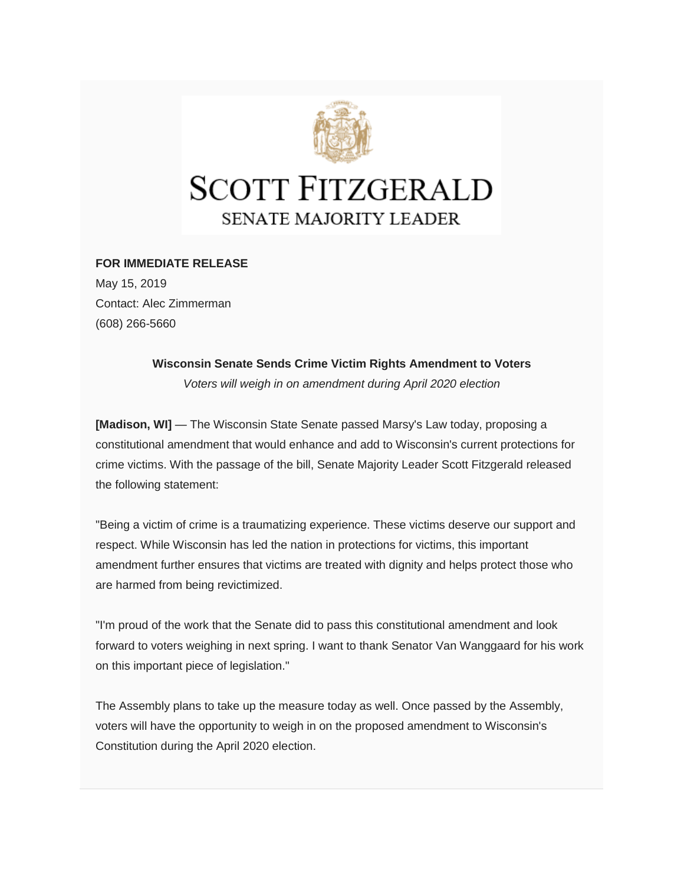

## **FOR IMMEDIATE RELEASE**

May 15, 2019 Contact: Alec Zimmerman (608) 266-5660

**Wisconsin Senate Sends Crime Victim Rights Amendment to Voters**

*Voters will weigh in on amendment during April 2020 election*

**[Madison, WI]** — The Wisconsin State Senate passed Marsy's Law today, proposing a constitutional amendment that would enhance and add to Wisconsin's current protections for crime victims. With the passage of the bill, Senate Majority Leader Scott Fitzgerald released the following statement:

"Being a victim of crime is a traumatizing experience. These victims deserve our support and respect. While Wisconsin has led the nation in protections for victims, this important amendment further ensures that victims are treated with dignity and helps protect those who are harmed from being revictimized.

"I'm proud of the work that the Senate did to pass this constitutional amendment and look forward to voters weighing in next spring. I want to thank Senator Van Wanggaard for his work on this important piece of legislation."

The Assembly plans to take up the measure today as well. Once passed by the Assembly, voters will have the opportunity to weigh in on the proposed amendment to Wisconsin's Constitution during the April 2020 election.